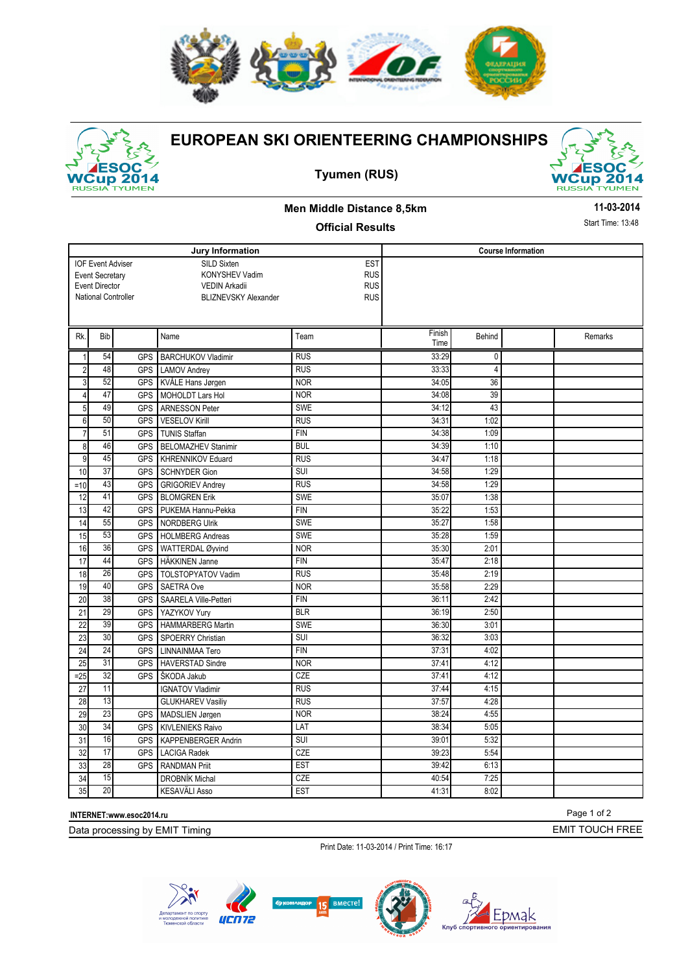



## **EUROPEAN SKI ORIENTEERING CHAMPIONSHIPS**





## **Men Middle Distance 8,5km**

**11-03-2014**

#### **Official Results**

Start Time: 13:48

|                                                                  |                     |            | Jury Information           | <b>Course Information</b> |        |                |  |         |
|------------------------------------------------------------------|---------------------|------------|----------------------------|---------------------------|--------|----------------|--|---------|
| SILD Sixten<br><b>IOF Event Adviser</b><br>KONYSHEV Vadim        |                     |            |                            | <b>EST</b><br><b>RUS</b>  |        |                |  |         |
| <b>Event Secretary</b><br><b>Event Director</b><br>VEDIN Arkadii |                     |            |                            | <b>RUS</b>                |        |                |  |         |
|                                                                  | National Controller |            | BLIZNEVSKY Alexander       | <b>RUS</b>                |        |                |  |         |
|                                                                  |                     |            |                            |                           |        |                |  |         |
|                                                                  |                     |            |                            |                           |        |                |  |         |
| Rk.                                                              | Bib                 |            | Name                       | Team                      | Finish | Behind         |  | Remarks |
|                                                                  |                     |            |                            |                           | Time   |                |  |         |
| $\mathbf{1}$                                                     | 54                  | <b>GPS</b> | <b>BARCHUKOV Vladimir</b>  | <b>RUS</b>                | 33:29  | 0              |  |         |
| $\sqrt{2}$                                                       | 48                  | <b>GPS</b> | <b>LAMOV Andrev</b>        | <b>RUS</b>                | 33:33  | $\overline{4}$ |  |         |
| $\mathsf 3$                                                      | 52                  | <b>GPS</b> | KVÅLE Hans Jørgen          | <b>NOR</b>                | 34:05  | 36             |  |         |
| $\overline{4}$                                                   | 47                  | <b>GPS</b> | <b>MOHOLDT Lars Hol</b>    | <b>NOR</b>                | 34:08  | 39             |  |         |
| 5                                                                | 49                  | <b>GPS</b> | <b>ARNESSON Peter</b>      | <b>SWE</b>                | 34:12  | 43             |  |         |
| $\boldsymbol{6}$                                                 | 50                  | <b>GPS</b> | <b>VESELOV Kirill</b>      | <b>RUS</b>                | 34:31  | 1:02           |  |         |
| $\overline{7}$                                                   | 51                  | <b>GPS</b> | <b>TUNIS Staffan</b>       | <b>FIN</b>                | 34:38  | 1:09           |  |         |
| 8                                                                | 46                  | <b>GPS</b> | <b>BELOMAZHEV Stanimir</b> | <b>BUL</b>                | 34:39  | 1:10           |  |         |
| 9                                                                | 45                  | <b>GPS</b> | <b>KHRENNIKOV Eduard</b>   | <b>RUS</b>                | 34:47  | 1:18           |  |         |
| 10                                                               | 37                  | <b>GPS</b> | <b>SCHNYDER Gion</b>       | SUI                       | 34:58  | 1:29           |  |         |
| $=10$                                                            | 43                  | <b>GPS</b> | <b>GRIGORIEV Andrey</b>    | <b>RUS</b>                | 34:58  | 1:29           |  |         |
| 12                                                               | 41                  | <b>GPS</b> | <b>BLOMGREN Erik</b>       | <b>SWE</b>                | 35:07  | 1:38           |  |         |
| 13                                                               | 42                  | <b>GPS</b> | PUKEMA Hannu-Pekka         | <b>FIN</b>                | 35:22  | 1:53           |  |         |
| 14                                                               | 55                  | <b>GPS</b> | NORDBERG Ulrik             | <b>SWE</b>                | 35:27  | 1:58           |  |         |
| 15                                                               | 53                  | <b>GPS</b> | <b>HOLMBERG Andreas</b>    | SWE                       | 35:28  | 1:59           |  |         |
| 16                                                               | 36                  | <b>GPS</b> | WATTERDAL Øyvind           | <b>NOR</b>                | 35:30  | 2:01           |  |         |
| 17                                                               | 44                  | <b>GPS</b> | HÄKKINEN Janne             | <b>FIN</b>                | 35:47  | 2:18           |  |         |
| 18                                                               | 26                  | GPS        | <b>TOLSTOPYATOV Vadim</b>  | <b>RUS</b>                | 35:48  | 2:19           |  |         |
| $\overline{19}$                                                  | 40                  | <b>GPS</b> | <b>SAETRA Ove</b>          | <b>NOR</b>                | 35:58  | 2:29           |  |         |
| 20                                                               | 38                  | <b>GPS</b> | SAARELA Ville-Petteri      | <b>FIN</b>                | 36:11  | 2:42           |  |         |
| 21                                                               | 29                  | <b>GPS</b> | YAZYKOV Yury               | <b>BLR</b>                | 36:19  | 2:50           |  |         |
| 22                                                               | 39                  | <b>GPS</b> | HAMMARBERG Martin          | <b>SWE</b>                | 36:30  | 3:01           |  |         |
| 23                                                               | 30                  | <b>GPS</b> | SPOERRY Christian          | SUI                       | 36:32  | 3:03           |  |         |
| 24                                                               | $\overline{24}$     | <b>GPS</b> | <b>LINNAINMAA Tero</b>     | <b>FIN</b>                | 37:31  | 4:02           |  |         |
| 25                                                               | 31                  | <b>GPS</b> | <b>HAVERSTAD Sindre</b>    | <b>NOR</b>                | 37:41  | 4:12           |  |         |
| $= 25$                                                           | 32                  | <b>GPS</b> | SKODA Jakub                | CZE                       | 37:41  | 4:12           |  |         |
| 27                                                               | 11                  |            | <b>IGNATOV Vladimir</b>    | <b>RUS</b>                | 37:44  | 4:15           |  |         |
| 28                                                               | 13                  |            | <b>GLUKHAREV Vasiliy</b>   | <b>RUS</b>                | 37:57  | 4:28           |  |         |
| 29                                                               | 23                  | <b>GPS</b> | MADSLIEN Jørgen            | <b>NOR</b>                | 38:24  | 4:55           |  |         |
| 30                                                               | 34                  | <b>GPS</b> | <b>KIVLENIEKS Raivo</b>    | LAT                       | 38:34  | 5:05           |  |         |
| 31                                                               | 16                  | <b>GPS</b> | <b>KAPPENBERGER Andrin</b> | SUI                       | 39:01  | 5:32           |  |         |
| 32                                                               | 17                  | <b>GPS</b> | LACIGA Radek               | CZE                       | 39:23  | 5:54           |  |         |
| 33                                                               | 28                  | <b>GPS</b> | <b>RANDMAN Priit</b>       | <b>EST</b>                | 39:42  | 6:13           |  |         |
| 34                                                               | 15                  |            | DROBNÍK Michal             | CZE                       | 40:54  | 7:25           |  |         |
| 35                                                               | $\overline{20}$     |            | <b>KESAVÄLI Asso</b>       | <b>EST</b>                | 41:31  | 8:02           |  |         |
|                                                                  |                     |            |                            |                           |        |                |  |         |

**INTERNET:www.esoc2014.ru** 

Data processing by EMIT Timing

Print Date: 11-03-2014 / Print Time: 16:17



Page 1 of 2

EMIT TOUCH FREE